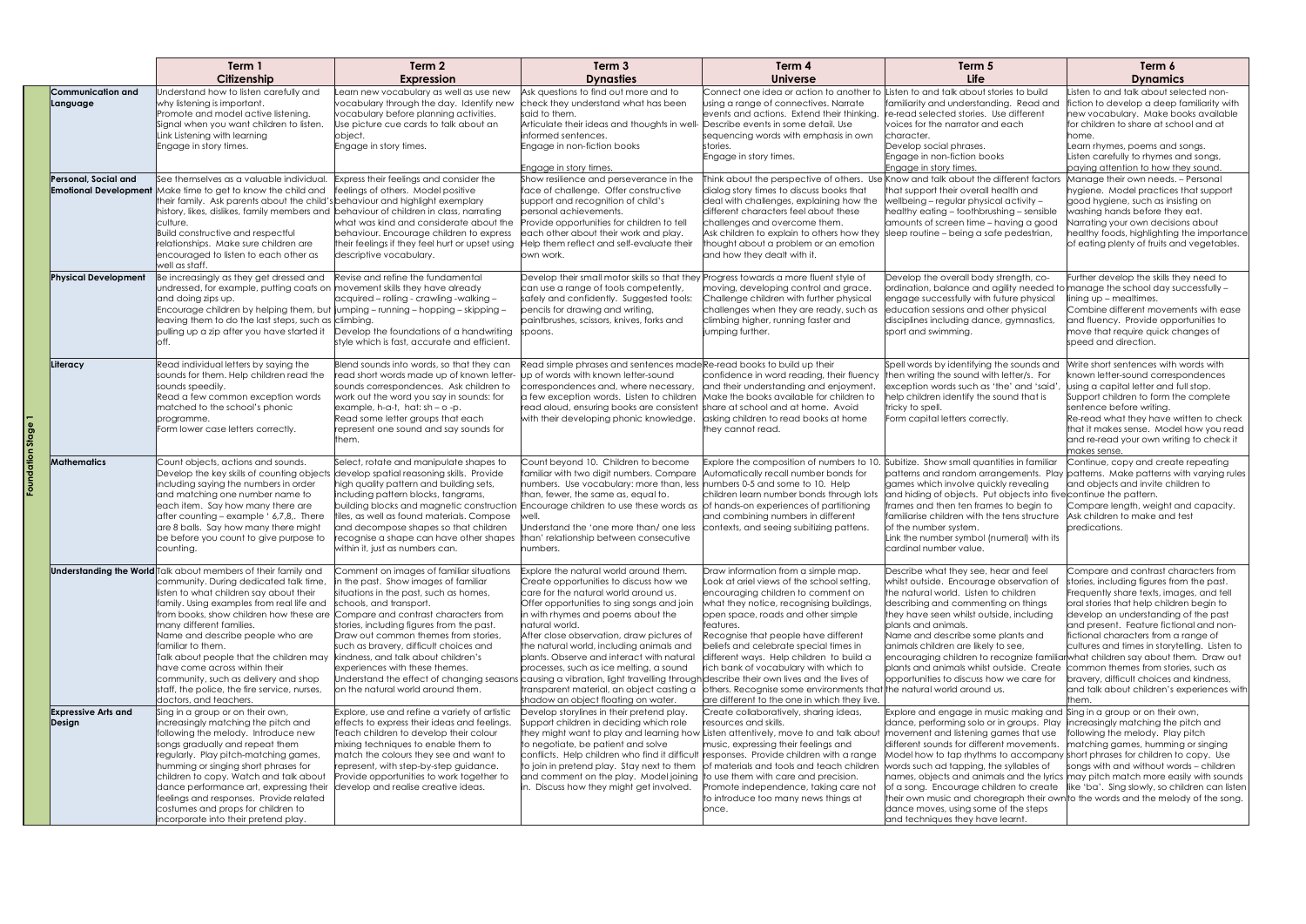|  |                                      | Term 1                                                                                                                                                                                                                                                                                                                                                                                                                                                                                                                                                                    | Term 2                                                                                                                                                                                                                                                                                                                                                                                                                                                                                                                                  | Term 3                                                                                                                                                                                                                                                                                                                                                                                                                                                                                                                                                                             | Term 4                                                                                                                                                                                                                                                                                                                                                                                                                                         | Term 5                                                                                                                                                                                                                                                                                                                                                                                                                                                                                                                                       | Term 6                                                                                                                                                                                                                                                                                                                                                                                                                                                                                          |
|--|--------------------------------------|---------------------------------------------------------------------------------------------------------------------------------------------------------------------------------------------------------------------------------------------------------------------------------------------------------------------------------------------------------------------------------------------------------------------------------------------------------------------------------------------------------------------------------------------------------------------------|-----------------------------------------------------------------------------------------------------------------------------------------------------------------------------------------------------------------------------------------------------------------------------------------------------------------------------------------------------------------------------------------------------------------------------------------------------------------------------------------------------------------------------------------|------------------------------------------------------------------------------------------------------------------------------------------------------------------------------------------------------------------------------------------------------------------------------------------------------------------------------------------------------------------------------------------------------------------------------------------------------------------------------------------------------------------------------------------------------------------------------------|------------------------------------------------------------------------------------------------------------------------------------------------------------------------------------------------------------------------------------------------------------------------------------------------------------------------------------------------------------------------------------------------------------------------------------------------|----------------------------------------------------------------------------------------------------------------------------------------------------------------------------------------------------------------------------------------------------------------------------------------------------------------------------------------------------------------------------------------------------------------------------------------------------------------------------------------------------------------------------------------------|-------------------------------------------------------------------------------------------------------------------------------------------------------------------------------------------------------------------------------------------------------------------------------------------------------------------------------------------------------------------------------------------------------------------------------------------------------------------------------------------------|
|  |                                      | Citizenship                                                                                                                                                                                                                                                                                                                                                                                                                                                                                                                                                               | <b>Expression</b>                                                                                                                                                                                                                                                                                                                                                                                                                                                                                                                       | <b>Dynasties</b>                                                                                                                                                                                                                                                                                                                                                                                                                                                                                                                                                                   | <b>Universe</b>                                                                                                                                                                                                                                                                                                                                                                                                                                | Life                                                                                                                                                                                                                                                                                                                                                                                                                                                                                                                                         | <b>Dynamics</b>                                                                                                                                                                                                                                                                                                                                                                                                                                                                                 |
|  | Communication and<br>Language        | Understand how to listen carefully and<br>why listening is important.<br>Promote and model active listening.<br>Signal when you want children to listen.<br>Link Listening with learning<br>Engage in story times.                                                                                                                                                                                                                                                                                                                                                        | Learn new vocabulary as well as use new<br>vocabulary through the day. Identify new<br>vocabulary before planning activities.<br>Use picture cue cards to talk about an<br>object.<br>Engage in story times.                                                                                                                                                                                                                                                                                                                            | Ask questions to find out more and to<br>check they understand what has been<br>said to them.<br>Articulate their ideas and thoughts in well- Describe events in some detail. Use<br>informed sentences.<br>Engage in non-fiction books<br>Engage in story times.                                                                                                                                                                                                                                                                                                                  | Connect one idea or action to another<br>using a range of connectives. Narrate<br>events and actions. Extend their thinking.<br>sequencing words with emphasis in own<br>stories.<br>Engage in story times.                                                                                                                                                                                                                                    | Listen to and talk about stories to build<br>familiarity and understanding. Read and<br>re-read selected stories. Use different<br>voices for the narrator and each<br>Icharacter.<br>Develop social phrases.<br>Engage in non-fiction books<br>Enaage in story times.                                                                                                                                                                                                                                                                       | Listen to and talk about selected non-<br>fiction to develop a deep familiarity with<br>new vocabulary. Make books available<br>for children to share at school and at<br>home.<br>Learn rhymes, poems and songs.<br>Listen carefully to rhymes and songs,<br>paying attention to how they sound.                                                                                                                                                                                               |
|  | Personal, Social and                 | See themselves as a valuable individual.<br><b>Emotional Development</b> Make time to get to know the child and<br>their family. Ask parents about the child's behaviour and highlight exemplary<br>history, likes, dislikes, family members and behaviour of children in class, narrating<br>culture.<br><b>Build constructive and respectful</b><br>relationships. Make sure children are<br>encouraged to listen to each other as<br>well as staff.                                                                                                                    | Express their feelings and consider the<br>feelings of others. Model positive<br>what was kind and considerate about the<br>behaviour. Encourage children to express<br>their feelings if they feel hurt or upset using<br>descriptive vocabulary.                                                                                                                                                                                                                                                                                      | Show resilience and perseverance in the<br>face of challenge. Offer constructive<br>support and recognition of child's<br>bersonal achievements.<br>Provide opportunities for children to tell<br>each other about their work and play.<br>Help them reflect and self-evaluate their<br>own work.                                                                                                                                                                                                                                                                                  | Think about the perspective of others. Use Know and talk about the different factors<br>dialog story times to discuss books that<br>deal with challenges, explaining how the<br>different characters feel about these<br>challenges and overcome them.<br>Ask children to explain to others how they<br>thought about a problem or an emotion<br>and how they dealt with it.                                                                   | that support their overall health and<br>wellbeing - regular physical activity -<br>healthy eating - toothbrushing - sensible<br>amounts of screen time - having a good<br>sleep routine - being a safe pedestrian,                                                                                                                                                                                                                                                                                                                          | Manage their own needs. - Personal<br>hygiene. Model practices that support<br>good hygiene, such as insisting on<br>washing hands before they eat.<br>Narrating your own decisions about<br>healthy foods, highlighting the importance<br>of eating plenty of fruits and vegetables.                                                                                                                                                                                                           |
|  | <b>Physical Development</b>          | Be increasingly as they get dressed and<br>undressed, for example, putting coats on movement skills they have already<br>and doing zips up.<br>Encourage children by helping them, but jumping - running - hopping - skipping -<br>leaving them to do the last steps, such as climbing.<br>pulling up a zip after you have started it<br>loff.                                                                                                                                                                                                                            | Revise and refine the fundamental<br>acquired - rolling - crawling -walking -<br>Develop the foundations of a handwriting<br>style which is fast, accurate and efficient.                                                                                                                                                                                                                                                                                                                                                               | Develop their small motor skills so that they<br>can use a range of tools competently,<br>safely and confidently. Suggested tools:<br>pencils for drawing and writing,<br>paintbrushes, scissors, knives, forks and<br>spoons.                                                                                                                                                                                                                                                                                                                                                     | Progress towards a more fluent style of<br>moving, developing control and grace.<br>Challenge children with further physical<br>challenges when they are ready, such as<br>climbing higher, running faster and<br>jumping further.                                                                                                                                                                                                             | Develop the overall body strength, co-<br>ordination, balance and agility needed to manage the school day successfully -<br>engage successfully with future physical<br>education sessions and other physical<br>disciplines including dance, gymnastics,<br>sport and swimming.                                                                                                                                                                                                                                                             | Further develop the skills they need to<br>lining up - mealtimes.<br>Combine different movements with ease<br>and fluency. Provide opportunities to<br>move that require quick changes of<br>speed and direction.                                                                                                                                                                                                                                                                               |
|  | Literacy                             | Read individual letters by saying the<br>sounds for them. Help children read the<br>sounds speedily.<br>Read a few common exception words<br>matched to the school's phonic<br>programme.<br>Form lower case letters correctly.                                                                                                                                                                                                                                                                                                                                           | Blend sounds into words, so that they can<br>read short words made up of known letter-<br>sounds correspondences. Ask children to<br>work out the word you say in sounds: for<br>$example, h-a-t, hat: sh-o-p.$<br>Read some letter groups that each<br>represent one sound and say sounds for<br>them.                                                                                                                                                                                                                                 | Read simple phrases and sentences made Re-read books to build up their<br>up of words with known letter-sound<br>correspondences and, where necessary,<br>a few exception words. Listen to children<br>read aloud, ensuring books are consistent<br>with their developing phonic knowledge.                                                                                                                                                                                                                                                                                        | confidence in word reading, their fluency<br>and their understanding and enjoyment.<br>Make the books available for children to<br>share at school and at home. Avoid<br>asking children to read books at home<br>they cannot read.                                                                                                                                                                                                            | Spell words by identifying the sounds and<br>then writing the sound with letter/s. For<br>exception words such as 'the' and 'said'<br>help children identify the sound that is<br>tricky to spell.<br>Form capital letters correctly.                                                                                                                                                                                                                                                                                                        | Write short sentences with words with<br>known letter-sound correspondences<br>using a capital letter and full stop.<br>Support children to form the complete<br>sentence before writing.<br>Re-read what they have written to check<br>that it makes sense. Model how you read<br>and re-read your own writing to check it<br>makes sense.                                                                                                                                                     |
|  | <b>Mathematics</b>                   | Count objects, actions and sounds.<br>Develop the key skills of counting objects<br>including saying the numbers in order<br>and matching one number name to<br>each item. Say how many there are<br>after counting - example ' 6,7,8,. There<br>are 8 balls. Say how many there might<br>be before you count to give purpose to<br>counting.                                                                                                                                                                                                                             | Select, rotate and manipulate shapes to<br>develop spatial reasoning skills. Provide<br>high quality pattern and building sets,<br>including pattern blocks, tangrams,<br>building blocks and magnetic construction Encourage children to use these words as of hands-on experiences of partitioning<br>tiles, as well as found materials. Compose<br>and decompose shapes so that children<br>recognise a shape can have other shapes<br>within it, just as numbers can.                                                               | Count beyond 10. Children to become<br>familiar with two digit numbers. Compare<br>numbers. Use vocabulary: more than, less numbers 0-5 and some to 10. Help<br>than, fewer, the same as, equal to.<br>vell.<br>Understand the 'one more than/ one less<br>than' relationship between consecutive<br>numbers.                                                                                                                                                                                                                                                                      | Explore the composition of numbers to 10.<br>Automatically recall number bonds for<br>children learn number bonds through lots<br>and combining numbers in different<br>contexts, and seeing subitizing pattens.                                                                                                                                                                                                                               | Subitize. Show small quantities in familiar<br>games which involve quickly revealing<br>and hiding of objects. Put objects into five continue the pattern.<br>frames and then ten frames to begin to<br><b>I</b> familiarise children with the tens structure<br>of the number system.<br>Link the number symbol (numeral) with its<br>cardinal number value.                                                                                                                                                                                | Continue, copy and create repeating<br>patterns and random arrangements. Play patterns. Make patterns with varying rules<br>and objects and invite children to<br>Compare length, weight and capacity.<br>Ask children to make and test<br>predications.                                                                                                                                                                                                                                        |
|  |                                      | <b>Understanding the World</b> Talk about members of their family and<br>community. During dedicated talk time<br>listen to what children say about their<br>family. Using examples from real life and<br>from books, show children how these are Compare and contrast characters from<br>many different families.<br>Name and describe people who are<br>familiar to them.<br>Talk about people that the children may<br>have come across within their<br>community, such as delivery and shop<br>staff, the police, the fire service, nurses,<br>doctors, and teachers. | Comment on images of familiar situations<br>in the past. Show images of familiar<br>situations in the past, such as homes,<br>schools, and transport.<br>stories, including figures from the past.<br>Draw out common themes from stories,<br>such as bravery, difficult choices and<br>kindness, and talk about children's<br>experiences with these themes.<br>Understand the effect of changing seasons causing a vibration, light travelling through describe their own lives and the lives of<br>on the natural world around them. | Explore the natural world around them.<br>Create opportunities to discuss how we<br>care for the natural world around us.<br>Offer opportunities to sing songs and join<br>in with rhymes and poems about the<br>natural world.<br>After close observation, draw pictures of<br>the natural world, including animals and<br>plants. Observe and interact with natural<br>processes, such as ice melting, a sound<br>transparent material, an object casting a $\vert$ others. Recognise some environments that the natural world around us.<br>shadow an object floating on water. | Draw information from a simple map.<br>Look at ariel views of the school setting,<br>encouraging children to comment on<br>what they notice, recognising buildings,<br>open space, roads and other simple<br>lfeatures.<br>Recognise that people have different<br>beliefs and celebrate special times in<br>different ways. Help children to build a<br>rich bank of vocabulary with which to<br>are different to the one in which they live. | Describe what they see, hear and feel<br>whilst outside. Encourage observation of<br>the natural world. Listen to children<br>describing and commenting on things<br>they have seen whilst outside, including<br>plants and animals.<br>Name and describe some plants and<br>animals children are likely to see,<br>encouraging children to recognize familiar what children say about them. Draw out<br>plants and animals whilst outside. Create<br>opportunities to discuss how we care for                                               | Compare and contrast characters from<br>stories, including figures from the past.<br>Frequently share texts, images, and tell<br>oral stories that help children begin to<br>develop an understanding of the past<br>and present. Feature fictional and non-<br>fictional characters from a range of<br>cultures and times in storytelling. Listen to<br>common themes from stories, such as<br>bravery, difficult choices and kindness,<br>and talk about children's experiences with<br>them. |
|  | <b>Expressive Arts and</b><br>Design | Sing in a group or on their own,<br>increasingly matching the pitch and<br>following the melody. Introduce new<br>songs gradually and repeat them<br>regularly. Play pitch-matching games,<br>humming or singing short phrases for<br>children to copy. Watch and talk about<br>dance performance art, expressing their<br>feelings and responses. Provide related<br>costumes and props for children to<br>incorporate into their pretend play.                                                                                                                          | Explore, use and refine a variety of artistic<br>effects to express their ideas and feelings.<br>Teach children to develop their colour<br>mixing techniques to enable them to<br>match the colours they see and want to<br>represent, with step-by-step guidance.<br>Provide opportunities to work together to<br>develop and realise creative ideas.                                                                                                                                                                                  | Develop storylines in their pretend play.<br>Support children in deciding which role<br>they might want to play and learning how<br>to negotiate, be patient and solve<br>conflicts. Help children who find it difficult responses. Provide children with a range<br>to join in pretend play. Stay next to them<br>and comment on the play. Model joining<br>in. Discuss how they might get involved.                                                                                                                                                                              | Create collaboratively, sharing ideas,<br>resources and skills.<br>Listen attentively, move to and talk about<br>music, expressing their feelings and<br>of materials and tools and teach children<br>to use them with care and precision.<br>Promote independence, taking care not<br>to introduce too many news things at<br>once.                                                                                                           | Explore and engage in music making and Sing in a group or on their own,<br>dance, performing solo or in groups. Play lincreasingly matching the pitch and<br>movement and listening games that use<br>different sounds for different movements.<br>Model how to tap rhythms to accompany short phrases for children to copy. Use<br>words such ad tapping, the syllables of<br>their own music and choregraph their own to the words and the melody of the song.<br>dance moves, using some of the steps<br>and techniques they have learnt. | following the melody. Play pitch<br>matching games, humming or singing<br>songs with and without words - children<br>names, objects and animals and the lyrics may pitch match more easily with sounds<br>of a song. Encourage children to create like 'ba'. Sing slowly, so children can listen                                                                                                                                                                                                |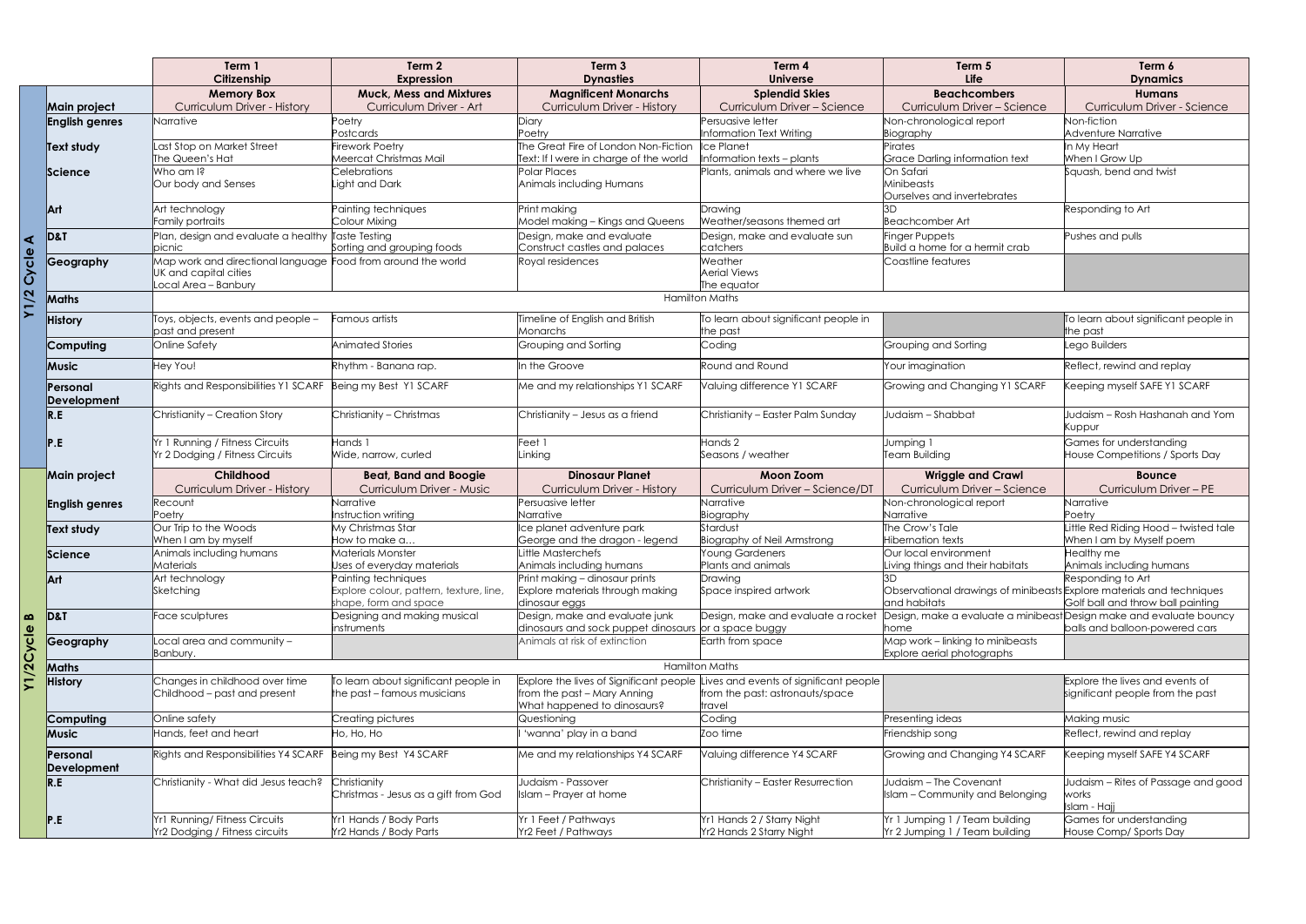|                   |                                       | Term 1<br>Citizenship                                                                 | Term 2<br><b>Expression</b>                                         | Term <sub>3</sub><br><b>Dynasties</b>                                                                 | Term 4<br><b>Universe</b>                                                          | Term 5<br><b>Life</b>                                                       | Term 6<br><b>Dynamics</b>                                           |
|-------------------|---------------------------------------|---------------------------------------------------------------------------------------|---------------------------------------------------------------------|-------------------------------------------------------------------------------------------------------|------------------------------------------------------------------------------------|-----------------------------------------------------------------------------|---------------------------------------------------------------------|
|                   |                                       | <b>Memory Box</b>                                                                     | <b>Muck, Mess and Mixtures</b><br>Curriculum Driver - Art           | <b>Magnificent Monarchs</b>                                                                           | <b>Splendid Skies</b><br>Curriculum Driver - Science                               | <b>Beachcombers</b><br>Curriculum Driver - Science                          | <b>Humans</b>                                                       |
|                   | Main project<br><b>English genres</b> | <b>Curriculum Driver - History</b><br>Narrative                                       | Poetry                                                              | <b>Curriculum Driver - History</b><br>Diary                                                           | Persuasive letter                                                                  | Non-chronological report                                                    | Curriculum Driver - Science<br>Non-fiction                          |
|                   |                                       |                                                                                       | Postcards                                                           | Poetry                                                                                                | Information Text Writing                                                           | Biography                                                                   | <b>Adventure Narrative</b>                                          |
|                   | Text study                            | Last Stop on Market Street                                                            | <b>Firework Poetry</b>                                              | The Great Fire of London Non-Fiction                                                                  | <b>Ice Planet</b>                                                                  | Pirates                                                                     | In My Heart                                                         |
|                   |                                       | The Queen's Hat<br>Who am I?                                                          | Meercat Christmas Mail<br>Celebrations                              | Text: If I were in charge of the world<br>Polar Places                                                | Information texts - plants<br>Plants, animals and where we live                    | Grace Darling information text<br>On Safari                                 | When I Grow Up<br>Squash, bend and twist                            |
|                   | Science                               | Our body and Senses                                                                   | Light and Dark                                                      | Animals including Humans                                                                              |                                                                                    | Minibeasts<br>Ourselves and invertebrates                                   |                                                                     |
|                   | Art                                   | Art technology                                                                        | Painting techniques                                                 | Print making                                                                                          | Drawing                                                                            |                                                                             | Responding to Art                                                   |
|                   |                                       | Family portraits<br>Plan, design and evaluate a healthy Taste Testing                 | Colour Mixing                                                       | Model making - Kings and Queens<br>Design, make and evaluate                                          | Weather/seasons themed art<br>Design, make and evaluate sun                        | <b>Beachcomber Art</b><br>Finger Puppets                                    | Pushes and pulls                                                    |
| ⋖                 | <b>D&amp;T</b>                        | picnic                                                                                | Sorting and grouping foods                                          | Construct castles and palaces                                                                         | catchers                                                                           | Build a home for a hermit crab                                              |                                                                     |
| ত<br>δ            | Geography                             | Map work and directional language Food from around the world<br>UK and capital cities |                                                                     | Royal residences                                                                                      | Weather<br>Aerial Views                                                            | Coastline features                                                          |                                                                     |
| N                 |                                       | Local Area - Banbury                                                                  |                                                                     |                                                                                                       | The equator                                                                        |                                                                             |                                                                     |
|                   | Maths                                 |                                                                                       |                                                                     |                                                                                                       | <b>Hamilton Maths</b>                                                              |                                                                             |                                                                     |
|                   | <b>History</b>                        | Toys, objects, events and people -<br>past and present                                | Famous artists                                                      | <b>Fimeline of English and British</b><br>Monarchs                                                    | To learn about significant people in<br>the past                                   |                                                                             | To learn about significant people in<br>the past                    |
|                   | Computing                             | <b>Online Safety</b>                                                                  | Animated Stories                                                    | Grouping and Sorting                                                                                  | Coding                                                                             | Grouping and Sorting                                                        | Lego Builders                                                       |
|                   | Music                                 | Hey You!                                                                              | Rhythm - Banana rap.                                                | In the Groove                                                                                         | Round and Round                                                                    | Your imagination                                                            | Reflect, rewind and replay                                          |
|                   | Personal<br>Development               | Rights and Responsibilities Y1 SCARF                                                  | Being my Best Y1 SCARF                                              | Me and my relationships Y1 SCARF                                                                      | Valuing difference Y1 SCARF                                                        | Growing and Changing Y1 SCARF                                               | Geeping myself SAFE Y1 SCARF                                        |
|                   | $\overline{R.E}$                      | Christianity - Creation Story                                                         | Christianity - Christmas                                            | Christianity - Jesus as a friend                                                                      | Christianity - Easter Palm Sunday                                                  | Judaism - Shabbat                                                           | Judaism - Rosh Hashanah and Yom<br>Kuppur                           |
|                   | P.E                                   | Yr 1 Running / Fitness Circuits<br>Yr 2 Dodging / Fitness Circuits                    | Hands 1<br>Wide, narrow, curled                                     | Feet 1<br>Linking                                                                                     | Hands 2<br>Seasons / weather                                                       | Jumping 1<br>Team Building                                                  | Games for understanding<br>House Competitions / Sports Day          |
|                   | Main project                          | Childhood                                                                             | <b>Beat, Band and Boogie</b>                                        | <b>Dinosaur Planet</b>                                                                                | <b>Moon Zoom</b>                                                                   | <b>Wriggle and Crawl</b>                                                    | <b>Bounce</b>                                                       |
|                   |                                       | <b>Curriculum Driver - History</b>                                                    | Curriculum Driver - Music                                           | <b>Curriculum Driver - History</b>                                                                    | Curriculum Driver - Science/DT                                                     | Curriculum Driver - Science                                                 | Curriculum Driver - PE                                              |
|                   | <b>English genres</b>                 | Recount<br>Poetry                                                                     | Narrative<br>Instruction writing                                    | Persuasive letter<br>Narrative                                                                        | Narrative                                                                          | Non-chronological report<br>Narrative                                       | Narrative<br>Poetrv                                                 |
|                   | Text study                            | Our Trip to the Woods                                                                 | My Christmas Star                                                   | Ice planet adventure park                                                                             | Biography<br>Stardust                                                              | The Crow's Tale                                                             | Little Red Riding Hood - twisted tale                               |
|                   |                                       | When I am by myself                                                                   | How to make a                                                       | George and the dragon - legend                                                                        | <b>Biography of Neil Armstrong</b>                                                 | <b>Hibernation texts</b>                                                    | When I am by Myself poem                                            |
|                   | Science                               | Animals including humans                                                              | Materials Monster                                                   | ittle Masterchefs                                                                                     | <b>Young Gardeners</b>                                                             | Our local environment                                                       | Healthy me                                                          |
|                   | Art                                   | Materials<br>Art technology                                                           | Uses of everyday materials<br>Painting techniques                   | Animals including humans<br>Print making - dinosaur prints                                            | Plants and animals<br>Drawing                                                      | Living things and their habitats<br>ЗD                                      | Animals including humans<br>Responding to Art                       |
|                   |                                       | Sketching                                                                             | Explore colour, pattern, texture, line,                             | Explore materials through making                                                                      | Space inspired artwork                                                             | Observational drawings of minibeasts Explore materials and techniques       |                                                                     |
|                   |                                       |                                                                                       | shape, form and space                                               | dinosaur eggs                                                                                         |                                                                                    | and habitats                                                                | Golf ball and throw ball painting                                   |
| B<br><u>യ</u>     | D&T                                   | Face sculptures                                                                       | Designing and making musical<br>instruments                         | Design, make and evaluate junk<br>dinosaurs and sock puppet dinosaurs or a space buggy                | Design, make and evaluate a rocket                                                 | Design, make a evaluate a minibeast Design make and evaluate bouncy<br>home | balls and balloon-powered cars                                      |
| $\mathbf{u}$<br>ئ | Geography                             | Local area and community $-$<br>Banbury.                                              |                                                                     | Animals at risk of extinction                                                                         | Earth from space                                                                   | Map work - linking to minibeasts<br>Explore aerial photographs              |                                                                     |
|                   | Maths                                 |                                                                                       |                                                                     |                                                                                                       | <b>Hamilton Maths</b>                                                              |                                                                             |                                                                     |
|                   | <b>History</b>                        | Changes in childhood over time<br>Childhood – past and present                        | To learn about significant people in<br>the past – famous musicians | Explore the lives of Significant people<br>from the past - Mary Anning<br>What happened to dinosaurs? | ives and events of significant people<br>from the past: astronauts/space<br>travel |                                                                             | Explore the lives and events of<br>significant people from the past |
|                   | Computing                             | Online safety                                                                         | Creating pictures                                                   | Questioning                                                                                           | Coding                                                                             | Presenting ideas                                                            | Making music                                                        |
|                   | Music                                 | Hands, feet and heart                                                                 | Ho, Ho, Ho                                                          | 'wanna' play in a band                                                                                | Zoo time                                                                           | Friendship song                                                             | Reflect, rewind and replay                                          |
|                   | Personal                              | Rights and Responsibilities Y4 SCARF                                                  | Being my Best Y4 SCARF                                              | Me and my relationships Y4 SCARF                                                                      | Valuing difference Y4 SCARF                                                        | Growing and Changing Y4 SCARF                                               | Keeping myself SAFE Y4 SCARF                                        |
|                   | Development<br>R.E                    | Christianity - What did Jesus teach?                                                  | Christianity                                                        | Judaism - Passover                                                                                    | Christianity - Easter Resurrection                                                 | Judaism - The Covenant                                                      | Judaism - Rites of Passage and goo                                  |
|                   |                                       |                                                                                       | Christmas - Jesus as a gift from God                                | Islam - Prayer at home                                                                                |                                                                                    | Islam - Community and Belonging                                             | works<br>Islam - Hajj                                               |
|                   |                                       |                                                                                       |                                                                     |                                                                                                       |                                                                                    |                                                                             |                                                                     |
|                   | P.E                                   | <b>Yr1 Running/Fitness Circuits</b><br>Yr2 Dodging / Fitness circuits                 | Yr1 Hands / Body Parts                                              | Yr 1 Feet / Pathways                                                                                  | Yr1 Hands 2 / Starry Night                                                         | Yr 1 Jumping 1 / Team building                                              | Games for understanding                                             |

| 5                          | Term 6<br><b>Dynamics</b>                         |
|----------------------------|---------------------------------------------------|
|                            |                                                   |
| nbers                      | <b>Humans</b>                                     |
| er – Science               | Curriculum Driver - Science                       |
| oort                       | Non-fiction                                       |
|                            | Adventure Narrative                               |
| ation text                 | In My Heart<br>When I Grow Up                     |
|                            | Squash, bend and twist                            |
|                            |                                                   |
| brates                     |                                                   |
|                            | Responding to Art                                 |
|                            |                                                   |
|                            | Pushes and pulls                                  |
| rmit crab                  |                                                   |
|                            |                                                   |
|                            |                                                   |
|                            |                                                   |
|                            |                                                   |
|                            |                                                   |
|                            | To learn about significant people in<br>the past  |
|                            | Lego Builders                                     |
|                            |                                                   |
|                            | Reflect, rewind and replay                        |
|                            |                                                   |
| ng Y1 SCARF                | Keeping myself SAFE Y1 SCARF                      |
|                            |                                                   |
|                            | Judaism - Rosh Hashanah and Yom                   |
|                            | Kuppur                                            |
|                            | Games for understanding                           |
|                            | House Competitions / Sports Day                   |
| I Crawl                    | <b>Bounce</b>                                     |
|                            |                                                   |
|                            | Curriculum Driver - PE                            |
| r-Science<br>oort          |                                                   |
|                            | Narrative<br>Poetry                               |
|                            | Little Red Riding Hood - twisted tale             |
|                            | When I am by Myself poem                          |
| t                          | <b>Healthy</b> me                                 |
| habitats                   | Animals including humans                          |
|                            | Responding to Art                                 |
|                            | gs of minibeasts Explore materials and techniques |
|                            | Golf ball and throw ball painting                 |
|                            | ate a minibeast Design make and evaluate bouncy   |
|                            | balls and balloon-powered cars                    |
|                            |                                                   |
|                            |                                                   |
| minibeasts<br><u>raphs</u> |                                                   |
|                            | Explore the lives and events of                   |
|                            | significant people from the past                  |
|                            |                                                   |
|                            | Making music                                      |
|                            | Reflect, rewind and replay                        |
|                            | Keeping myself SAFE Y4 SCARF                      |
|                            |                                                   |
| ng Y4 SCARF<br>ant         | Judaism – Rites of Passage and good               |
| nd Belonging               | works                                             |
|                            | Islam - Hajj                                      |
| building<br>building       | Games for understanding<br>House Comp/ Sports Day |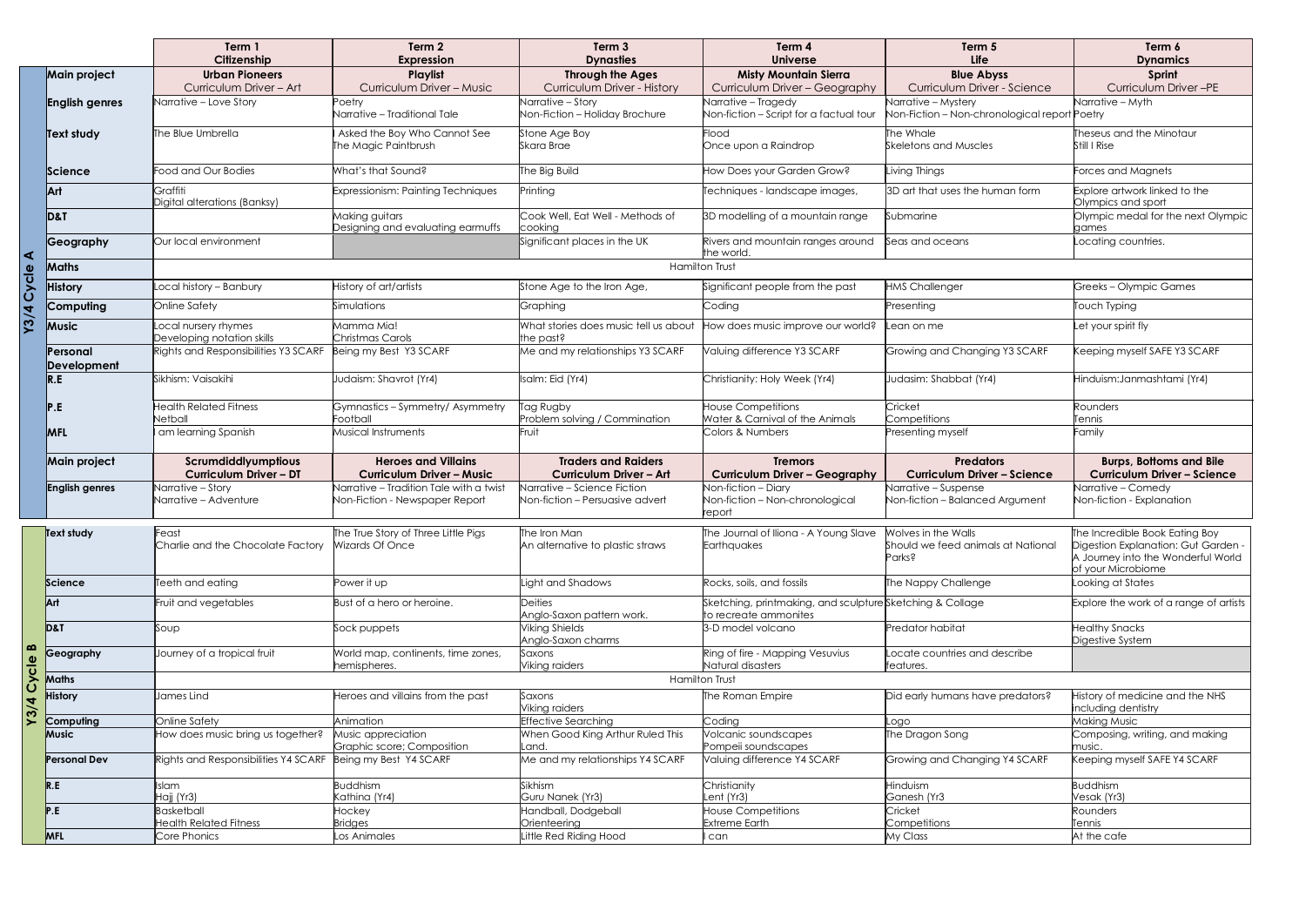|                       |                         | Term 1<br>Citizenship                                | Term <sub>2</sub><br><b>Expression</b>                                    | Term <sub>3</sub><br><b>Dynasties</b>                          | Term 4<br><b>Universe</b>                                                          | Term 5<br>Life                                                       | Term 6<br><b>Dynamics</b>                                                                       |  |
|-----------------------|-------------------------|------------------------------------------------------|---------------------------------------------------------------------------|----------------------------------------------------------------|------------------------------------------------------------------------------------|----------------------------------------------------------------------|-------------------------------------------------------------------------------------------------|--|
|                       | <b>Main project</b>     | <b>Urban Pioneers</b><br>Curriculum Driver - Art     | Playlist<br>Curriculum Driver - Music                                     | <b>Through the Ages</b><br><b>Curriculum Driver - History</b>  | <b>Misty Mountain Sierra</b><br>Curriculum Driver - Geography                      | <b>Blue Abyss</b><br>Curriculum Driver - Science                     | Sprint<br>Curriculum Driver-PE                                                                  |  |
|                       | <b>English genres</b>   | Narrative – Love Story                               | Poetry<br>Narrative - Traditional Tale                                    | Narrative - Story<br>Non-Fiction - Holiday Brochure            | Narrative - Tragedy<br>Non-fiction - Script for a factual tour                     | Narrative - Mystery<br>Non-Fiction - Non-chronological report Poetry | Narrative – Myth                                                                                |  |
|                       | Text study              | The Blue Umbrella                                    | Asked the Boy Who Cannot See<br>The Magic Paintbrush                      | Stone Age Boy<br>Skara Brae                                    | Flood<br>Once upon a Raindrop                                                      | The Whale<br><b>Skeletons and Muscles</b>                            | Theseus and the Minotaur<br>Still I Rise                                                        |  |
|                       | Science                 | Food and Our Bodies                                  | What's that Sound?                                                        | The Big Build                                                  | How Does your Garden Grow?                                                         | Living Things                                                        | Forces and Magnets                                                                              |  |
|                       | Art                     | Graffiti<br>Digital alterations (Banksy)             | Expressionism: Painting Techniques                                        | Printing                                                       | Techniques - landscape images,                                                     | 3D art that uses the human form                                      | Explore artwork linked to the<br>Olympics and sport                                             |  |
|                       | D&T                     |                                                      | Making guitars<br>Designing and evaluating earmuffs                       | Cook Well, Eat Well - Methods of<br>cooking                    | 3D modelling of a mountain range                                                   | Submarine                                                            | Olympic medal for the next Olympic<br>games                                                     |  |
| ⋖                     | Geography               | Our local environment                                |                                                                           | Significant places in the UK                                   | Rivers and mountain ranges around<br>the world.                                    | Seas and oceans                                                      | ocating countries.                                                                              |  |
| $\boldsymbol{\omega}$ | <b>Maths</b>            |                                                      |                                                                           |                                                                | <b>Hamilton Trust</b>                                                              |                                                                      |                                                                                                 |  |
| <b>US</b>             | <b>History</b>          | ocal history - Banbury                               | History of art/artists                                                    | Stone Age to the Iron Age,                                     | Significant people from the past                                                   | <b>HMS Challenger</b>                                                | Greeks-Olympic Games                                                                            |  |
|                       | Computing               | Online Safety                                        | Simulations                                                               | Graphing                                                       | Coding                                                                             | Presenting                                                           | Touch Typing                                                                                    |  |
| <u>ين</u>             | <b>Music</b>            | Local nursery rhymes<br>Developing notation skills   | Mamma Mia!<br>Christmas Carols                                            | What stories does music tell us about<br>the past?             | How does music improve our world?                                                  | Lean on me                                                           | Let your spirit fly                                                                             |  |
|                       | Personal<br>Development | Rights and Responsibilities Y3 SCARF                 | Being my Best Y3 SCARF                                                    | Me and my relationships Y3 SCARF                               | Valuing difference Y3 SCARF                                                        | Growing and Changing Y3 SCARF                                        | Keeping myself SAFE Y3 SCARF                                                                    |  |
|                       | R.E                     | Sikhism: Vaisakihi                                   | Judaism: Shavrot (Yr4)                                                    | Isalm: Eid (Yr4)                                               | Christianity: Holy Week (Yr4)                                                      | Judasim: Shabbat (Yr4)                                               | Hinduism: Janmashtami (Yr4)                                                                     |  |
|                       |                         | <b>Health Related Fitness</b><br>Netball             | Gymnastics - Symmetry/ Asymmetry<br>Football                              | Tag Rugby<br>Problem solving / Commination                     | <b>House Competitions</b><br>Water & Carnival of the Animals                       | Cricket<br>Competitions                                              | Rounders<br>Tennis                                                                              |  |
|                       | <b>MFL</b>              | am learning Spanish                                  | Musical Instruments                                                       | Fruit                                                          | Colors & Numbers                                                                   | Presenting myself                                                    | Family                                                                                          |  |
|                       | <b>Main project</b>     | Scrumdiddlyumptious<br><b>Curriculum Driver - DT</b> | <b>Heroes and Villains</b><br><b>Curriculum Driver - Music</b>            | <b>Traders and Raiders</b><br><b>Curriculum Driver - Art</b>   | <b>Tremors</b><br><b>Curriculum Driver - Geography</b>                             | <b>Predators</b><br><b>Curriculum Driver - Science</b>               | <b>Burps, Bottoms and Bile</b><br><b>Curriculum Driver - Science</b>                            |  |
|                       | <b>English genres</b>   | Narrative - Story<br>Narrative – Adventure           | Narrative - Tradition Tale with a twist<br>Non-Fiction - Newspaper Report | Narrative - Science Fiction<br>Non-fiction - Persuasive advert | Non-fiction - Diary<br>Non-fiction - Non-chronological<br>report                   | Narrative - Suspense<br>Non-fiction - Balanced Argument              | Narrative – Comedy<br>Non-fiction - Explanation                                                 |  |
|                       | Text study              | Feast                                                | The True Story of Three Little Pigs                                       | The Iron Man                                                   | The Journal of Iliona - A Young Slave                                              | Wolves in the Walls                                                  | The Incredible Book Eating Boy                                                                  |  |
|                       |                         | Charlie and the Chocolate Factory                    | Wizards Of Once                                                           | An alternative to plastic straws                               | Earthquakes                                                                        | Should we feed animals at National<br>Parks?                         | Digestion Explanation: Gut Garden -<br>A Journey into the Wonderful World<br>of your Microbiome |  |
|                       | Science                 | Teeth and eating                                     | Power it up                                                               | ight and Shadows                                               | Rocks, soils, and fossils                                                          | The Nappy Challenge                                                  | Looking at States                                                                               |  |
|                       | Art                     | Fruit and vegetables                                 | Bust of a hero or heroine.                                                | <b>Deities</b><br>Anglo-Saxon pattern work.                    | Sketching, printmaking, and sculpture Sketching & Collage<br>to recreate ammonites |                                                                      | Explore the work of a range of artists                                                          |  |
|                       | D&T                     | Soup                                                 | Sock puppets                                                              | <b>Viking Shields</b><br>Anglo-Saxon charms                    | 3-D model volcano                                                                  | Predator habitat                                                     | <b>Healthy Snacks</b><br>Digestive System                                                       |  |
| Cycle B               | Geography               | Journey of a tropical fruit                          | World map, continents, time zones,<br>hemispheres.                        | Saxons<br>Viking raiders                                       | Ring of fire - Mapping Vesuvius<br>Natural disasters                               | Locate countries and describe<br>features.                           |                                                                                                 |  |
|                       | Maths                   | <b>Hamilton Trust</b>                                |                                                                           |                                                                |                                                                                    |                                                                      |                                                                                                 |  |
| Y3/4                  | <b>History</b>          | James Lind                                           | Heroes and villains from the past                                         | Saxons<br>Viking raiders                                       | The Roman Empire                                                                   | Did early humans have predators?                                     | History of medicine and the NHS<br>including dentistry                                          |  |
|                       | Computing               | Online Safety                                        | Animation                                                                 | <b>Effective Searching</b>                                     | Coding                                                                             | Logo                                                                 | Making Music                                                                                    |  |
|                       | Music                   | How does music bring us together?                    | Music appreciation<br>Graphic score; Composition                          | When Good King Arthur Ruled This<br>_and.                      | Volcanic soundscapes<br>Pompeii soundscapes                                        | The Dragon Song                                                      | Composing, writing, and making<br>music.                                                        |  |
|                       | <b>Personal Dev</b>     | Rights and Responsibilities Y4 SCARF                 | Being my Best Y4 SCARF                                                    | Me and my relationships Y4 SCARF                               | Valuing difference Y4 SCARF                                                        | Growing and Changing Y4 SCARF                                        | Keeping myself SAFE Y4 SCARF                                                                    |  |
|                       | R.E                     | Islam<br>Hajj (Yr3)                                  | <b>Buddhism</b><br>Kathina (Yr4)                                          | Sikhism<br>Guru Nanek (Yr3)                                    | Christianity<br>Lent (Yr3)                                                         | Hinduism<br>Ganesh (Yr3                                              | <b>Buddhism</b><br>Vesak (Yr3)                                                                  |  |
|                       | P.E                     | <b>Basketball</b><br><b>Health Related Fitness</b>   | Hockey<br><b>Bridges</b>                                                  | Handball, Dodgeball<br>Orienteering                            | <b>House Competitions</b><br><b>Extreme Earth</b>                                  | Cricket<br>Competitions                                              | Rounders<br>Tennis                                                                              |  |
|                       | <b>MFL</b>              | Core Phonics                                         | Los Animales                                                              | ittle Red Riding Hood                                          | can                                                                                | My Class                                                             | At the cafe                                                                                     |  |

| Term 5<br>Life                                                       | Term 6<br><b>Dynamics</b>                                                                                                         |
|----------------------------------------------------------------------|-----------------------------------------------------------------------------------------------------------------------------------|
| <b>Blue Abyss</b>                                                    | Sprint                                                                                                                            |
| Curriculum Driver - Science                                          | Curriculum Driver-PE                                                                                                              |
| Narrative - Mystery<br>Non-Fiction - Non-chronological report Poetry | Narrative - Myth                                                                                                                  |
| The Whale<br><b>Skeletons and Muscles</b>                            | Theseus and the Minotaur<br>Still I Rise                                                                                          |
| Living Things                                                        | Forces and Magnets                                                                                                                |
| 3D art that uses the human form                                      | Explore artwork linked to the<br>Olympics and sport                                                                               |
| Submarine                                                            | Olympic medal for the next Olympic<br>aames                                                                                       |
| Seas and oceans                                                      | Locating countries.                                                                                                               |
|                                                                      |                                                                                                                                   |
| <b>HMS Challenger</b>                                                | Greeks – Olympic Games                                                                                                            |
| Presenting                                                           | <b>Touch Typing</b>                                                                                                               |
| Lean on me                                                           | Let your spirit fly                                                                                                               |
| Growing and Changing Y3 SCARF                                        | Keeping myself SAFE Y3 SCARF                                                                                                      |
| Judasim: Shabbat (Yr4)                                               | Hinduism:Janmashtami (Yr4)                                                                                                        |
| Cricket                                                              | Rounders                                                                                                                          |
| Competitions<br>Presenting myself                                    | Tennis<br>Family                                                                                                                  |
|                                                                      |                                                                                                                                   |
| <b>Predators</b><br><b>Curriculum Driver - Science</b>               | <b>Burps, Bottoms and Bile</b><br><b>Curriculum Driver - Science</b>                                                              |
| Narrative - Suspense<br>Non-fiction - Balanced Argument              | Narrative - Comedy<br>Non-fiction - Explanation                                                                                   |
| Wolves in the Walls<br>Should we feed animals at National<br>Parks?  | The Incredible Book Eating Boy<br>Digestion Explanation: Gut Garden -<br>A Journey into the Wonderful World<br>of your Microbiome |
| The Nappy Challenge                                                  | Looking at States                                                                                                                 |
| Sketching & Collage                                                  | Explore the work of a range of artists                                                                                            |
| Predator habitat                                                     | <b>Healthy Snacks</b><br>Digestive System                                                                                         |
| Locate countries and describe<br>features.                           |                                                                                                                                   |
| Did early humans have predators?                                     | History of medicine and the NHS<br>including dentistry                                                                            |
| Logo                                                                 | Making Music                                                                                                                      |
| The Dragon Song                                                      | Composing, writing, and making<br>music.                                                                                          |
| Growing and Changing Y4 SCARF                                        | Keeping myself SAFE Y4 SCARF                                                                                                      |
| Hinduism<br>Ganesh (Yr3                                              | <b>Buddhism</b><br>Vesak (Yr3)                                                                                                    |
| Cricket<br>Competitions                                              | Rounders<br>Tennis                                                                                                                |
| My Class                                                             | At the cafe                                                                                                                       |
|                                                                      |                                                                                                                                   |